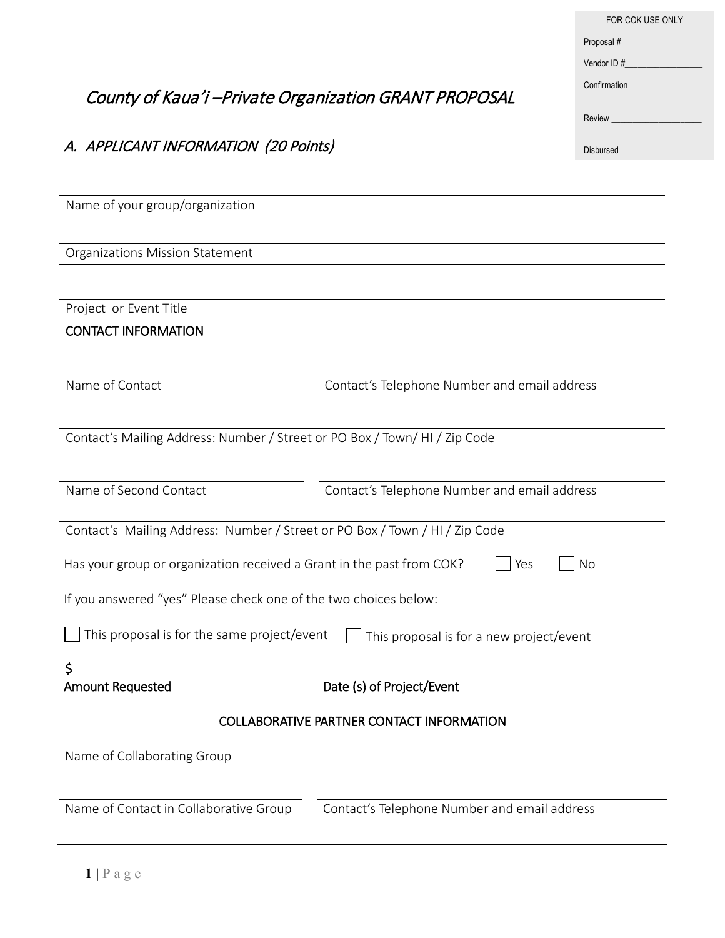|                                                                             |                                                                                            | Proposal #______________________                           |
|-----------------------------------------------------------------------------|--------------------------------------------------------------------------------------------|------------------------------------------------------------|
|                                                                             |                                                                                            | Vendor ID $\#$                                             |
| County of Kaua'i -Private Organization GRANT PROPOSAL                       |                                                                                            |                                                            |
|                                                                             |                                                                                            |                                                            |
| A. APPLICANT INFORMATION (20 Points)                                        |                                                                                            | Disbursed <b>Executive Service Service Service Service</b> |
|                                                                             |                                                                                            |                                                            |
| Name of your group/organization                                             |                                                                                            |                                                            |
|                                                                             |                                                                                            |                                                            |
| Organizations Mission Statement                                             |                                                                                            |                                                            |
|                                                                             |                                                                                            |                                                            |
| Project or Event Title                                                      |                                                                                            |                                                            |
| <b>CONTACT INFORMATION</b>                                                  |                                                                                            |                                                            |
| Name of Contact                                                             | Contact's Telephone Number and email address                                               |                                                            |
|                                                                             |                                                                                            |                                                            |
| Contact's Mailing Address: Number / Street or PO Box / Town/ HI / Zip Code  |                                                                                            |                                                            |
|                                                                             |                                                                                            |                                                            |
| Name of Second Contact                                                      | Contact's Telephone Number and email address                                               |                                                            |
| Contact's Mailing Address: Number / Street or PO Box / Town / HI / Zip Code |                                                                                            |                                                            |
|                                                                             | Has your group or organization received a Grant in the past from COK? $\Box$ Yes $\Box$ No |                                                            |
| If you answered "yes" Please check one of the two choices below:            |                                                                                            |                                                            |
| This proposal is for the same project/event                                 |                                                                                            |                                                            |
|                                                                             | This proposal is for a new project/event                                                   |                                                            |
| \$<br><b>Amount Requested</b>                                               | Date (s) of Project/Event                                                                  |                                                            |
|                                                                             |                                                                                            |                                                            |
| <b>COLLABORATIVE PARTNER CONTACT INFORMATION</b>                            |                                                                                            |                                                            |
| Name of Collaborating Group                                                 |                                                                                            |                                                            |
|                                                                             |                                                                                            |                                                            |
| Name of Contact in Collaborative Group                                      | Contact's Telephone Number and email address                                               |                                                            |
|                                                                             |                                                                                            |                                                            |

FOR COK USE ONLY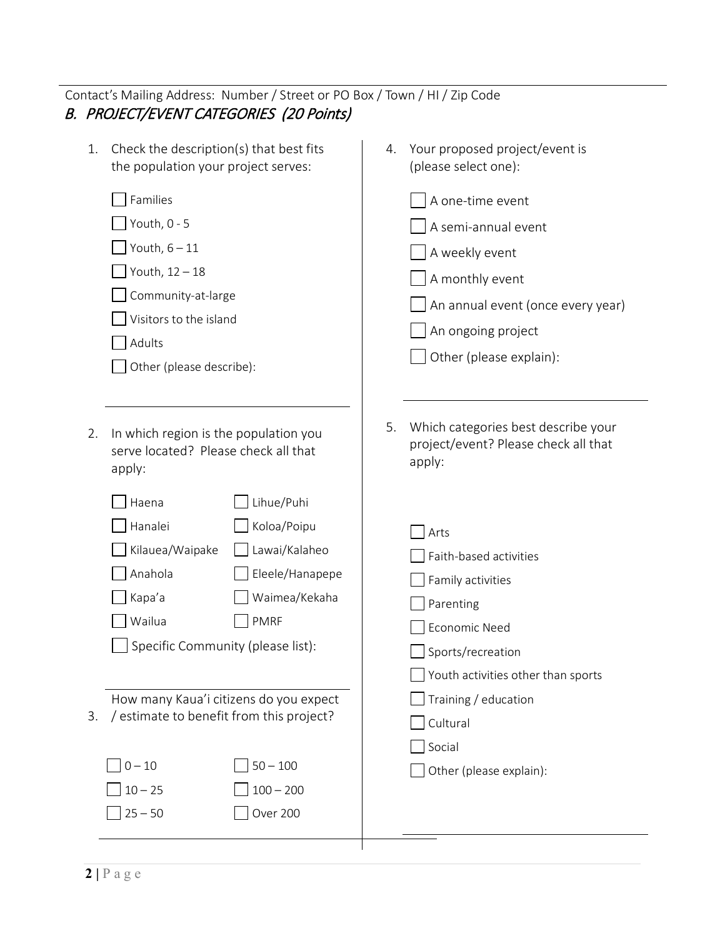| Contact's Mailing Address: Number / Street or PO Box / Town / HI / Zip Code                                                                                                                                                                                          |                                                                                                                                                                                  |
|----------------------------------------------------------------------------------------------------------------------------------------------------------------------------------------------------------------------------------------------------------------------|----------------------------------------------------------------------------------------------------------------------------------------------------------------------------------|
| <b>B. PROJECT/EVENT CATEGORIES (20 Points)</b>                                                                                                                                                                                                                       |                                                                                                                                                                                  |
| Check the description(s) that best fits<br>1.<br>the population your project serves:                                                                                                                                                                                 | Your proposed project/event is<br>4.<br>(please select one):                                                                                                                     |
| Families<br>Youth, 0 - 5<br>Youth, $6 - 11$<br>Youth, 12 - 18<br>Community-at-large<br>Visitors to the island<br>Adults<br>Other (please describe):                                                                                                                  | A one-time event<br>A semi-annual event<br>A weekly event<br>A monthly event<br>An annual event (once every year)<br>An ongoing project<br>Other (please explain):               |
| In which region is the population you<br>2.<br>serve located? Please check all that<br>apply:<br>Lihue/Puhi<br>Haena<br>Hanalei<br>Koloa/Poipu<br>Kilauea/Waipake<br>Lawai/Kalaheo<br>Anahola<br>Eleele/Hanapepe<br>Waimea/Kekaha<br>Kapa'a<br>Wailua<br><b>PMRF</b> | Which categories best describe your<br>5.<br>project/event? Please check all that<br>apply:<br>Arts<br>Faith-based activities<br>Family activities<br>Parenting<br>Economic Need |
| Specific Community (please list):<br>How many Kaua'i citizens do you expect<br>/ estimate to benefit from this project?<br>3.<br>$50 - 100$<br>$0 - 10$<br>$100 - 200$<br>$10 - 25$<br>$25 - 50$<br>Over 200                                                         | Sports/recreation<br>Youth activities other than sports<br>Training / education<br>Cultural<br>Social<br>Other (please explain):                                                 |
|                                                                                                                                                                                                                                                                      |                                                                                                                                                                                  |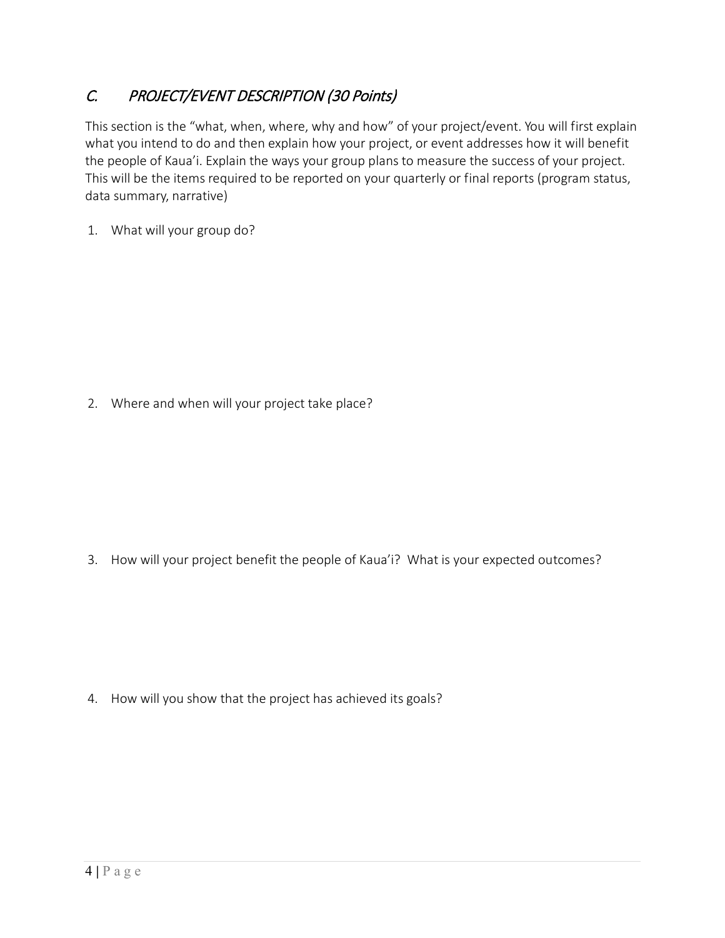# C. PROJECT/EVENT DESCRIPTION (30 Points)

This section is the "what, when, where, why and how" of your project/event. You will first explain what you intend to do and then explain how your project, or event addresses how it will benefit the people of Kaua'i. Explain the ways your group plans to measure the success of your project. This will be the items required to be reported on your quarterly or final reports (program status, data summary, narrative)

1. What will your group do?

2. Where and when will your project take place?

3. How will your project benefit the people of Kaua'i? What is your expected outcomes?

4. How will you show that the project has achieved its goals?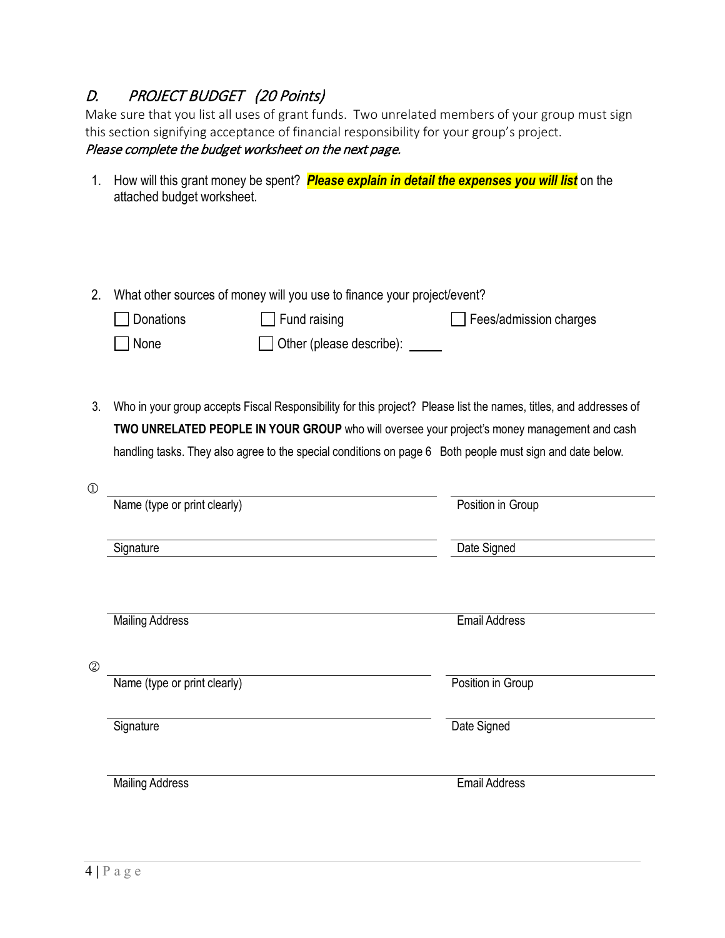# D. PROJECT BUDGET (20 Points)

Make sure that you list all uses of grant funds. Two unrelated members of your group must sign this section signifying acceptance of financial responsibility for your group's project. Please complete the budget worksheet on the next page.

- 1. How will this grant money be spent? *Please explain in detail the expenses you will list* on the attached budget worksheet.
- 2. What other sources of money will you use to finance your project/event?

| Donations   | $\Box$ Fund raising             | Fees/admission charges |
|-------------|---------------------------------|------------------------|
| $\Box$ None | $\Box$ Other (please describe): |                        |

3. Who in your group accepts Fiscal Responsibility for this project? Please list the names, titles, and addresses of **TWO UNRELATED PEOPLE IN YOUR GROUP** who will oversee your project's money management and cash handling tasks. They also agree to the special conditions on page 6 Both people must sign and date below.

| $\mathbb{O}$ |                              |                      |
|--------------|------------------------------|----------------------|
|              | Name (type or print clearly) | Position in Group    |
|              | Signature                    | Date Signed          |
|              | <b>Mailing Address</b>       | <b>Email Address</b> |
| $\circledS$  | Name (type or print clearly) | Position in Group    |
|              | Signature                    | Date Signed          |
|              | <b>Mailing Address</b>       | <b>Email Address</b> |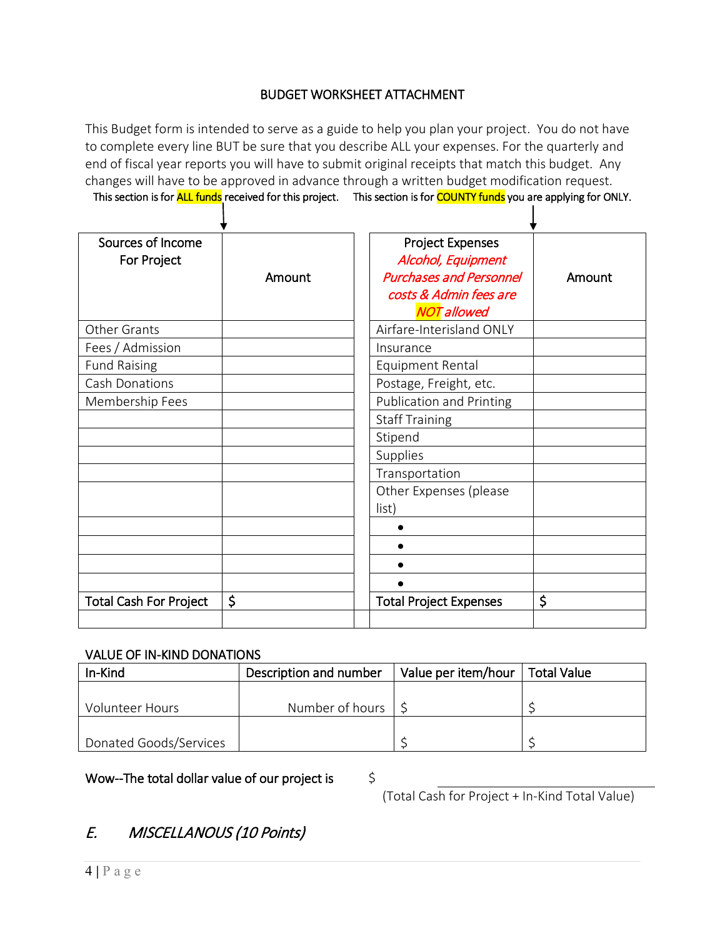## BUDGET WORKSHEET ATTACHMENT

This Budget form is intended to serve as a guide to help you plan your project. You do not have to complete every line BUT be sure that you describe ALL your expenses. For the quarterly and end of fiscal year reports you will have to submit original receipts that match this budget. Any changes will have to be approved in advance through a written budget modification request. This section is for **ALL funds** received for this project. This section is for **COUNTY funds** you are applying for ONLY.

| Sources of Income<br>For Project | Amount | <b>Project Expenses</b><br>Alcohol, Equipment<br><b>Purchases and Personnel</b> | Amount |
|----------------------------------|--------|---------------------------------------------------------------------------------|--------|
|                                  |        | costs & Admin fees are                                                          |        |
|                                  |        | <b>NOT</b> allowed                                                              |        |
| <b>Other Grants</b>              |        | Airfare-Interisland ONLY                                                        |        |
| Fees / Admission                 |        | Insurance                                                                       |        |
| <b>Fund Raising</b>              |        | <b>Equipment Rental</b>                                                         |        |
| Cash Donations                   |        | Postage, Freight, etc.                                                          |        |
| Membership Fees                  |        | <b>Publication and Printing</b>                                                 |        |
|                                  |        | <b>Staff Training</b>                                                           |        |
|                                  |        | Stipend                                                                         |        |
|                                  |        | Supplies                                                                        |        |
|                                  |        | Transportation                                                                  |        |
|                                  |        | Other Expenses (please<br>list)                                                 |        |
|                                  |        | ٠                                                                               |        |
|                                  |        |                                                                                 |        |
|                                  |        | ٠                                                                               |        |
|                                  |        |                                                                                 |        |
| <b>Total Cash For Project</b>    | \$     | <b>Total Project Expenses</b>                                                   | \$     |
|                                  |        |                                                                                 |        |

### VALUE OF IN-KIND DONATIONS

| In-Kind                | Description and number     | Value per item/hour   Total Value |  |
|------------------------|----------------------------|-----------------------------------|--|
|                        |                            |                                   |  |
| Volunteer Hours        | Number of hours $\vert$ \$ |                                   |  |
|                        |                            |                                   |  |
| Donated Goods/Services |                            |                                   |  |

Wow--The total dollar value of our project is  $\Diamond$ 

(Total Cash for Project + In-Kind Total Value)

# E. MISCELLANOUS (10 Points)